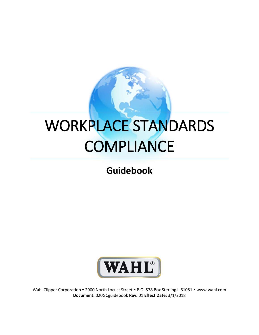## WORKPLACE STANDARDS **COMPLIANCE**

## **Guidebook**



Wahl Clipper Corporation . 2900 North Locust Street . P.O. 578 Box Sterling Il 61081 . www.wahl.com **Document:** 020GCguidebook **Rev.** 01 **Effect Date:** 3/1/2018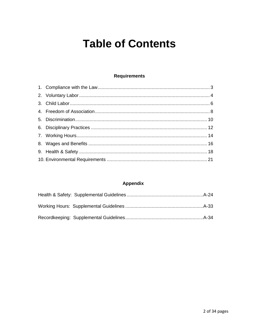## **Table of Contents**

#### **Requirements**

#### **Appendix**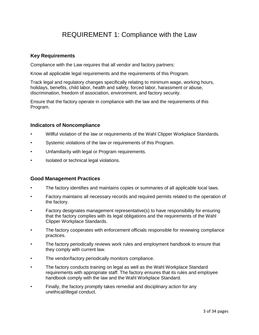## REQUIREMENT 1: Compliance with the Law

#### **Key Requirements**

Compliance with the Law requires that all vendor and factory partners:

Know all applicable legal requirements and the requirements of this Program.

Track legal and regulatory changes specifically relating to minimum wage, working hours, holidays, benefits, child labor, health and safety, forced labor, harassment or abuse, discrimination, freedom of association, environment, and factory security.

Ensure that the factory operate in compliance with the law and the requirements of this Program.

#### **Indicators of Noncompliance**

- Willful violation of the law or requirements of the Wahl Clipper Workplace Standards.
- Systemic violations of the law or requirements of this Program.
- Unfamiliarity with legal or Program requirements.
- Isolated or technical legal violations.

- The factory identifies and maintains copies or summaries of all applicable local laws.
- Factory maintains all necessary records and required permits related to the operation of the factory.
- Factory designates management representative(s) to have responsibility for ensuring that the factory complies with its legal obligations and the requirements of the Wahl Clipper Workplace Standards.
- The factory cooperates with enforcement officials responsible for reviewing compliance practices.
- The factory periodically reviews work rules and employment handbook to ensure that they comply with current law.
- The vendor/factory periodically monitors compliance.
- The factory conducts training on legal as well as the Wahl Workplace Standard requirements with appropriate staff. The factory ensures that its rules and employee handbook comply with the law and the Wahl Workplace Standard.
- Finally, the factory promptly takes remedial and disciplinary action for any unethical/illegal conduct.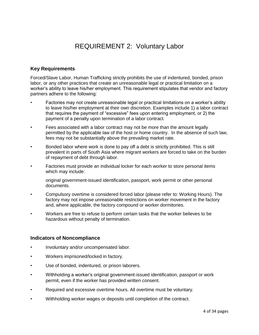## REQUIREMENT 2: Voluntary Labor

#### **Key Requirements**

Forced/Slave Labor, Human Trafficking strictly prohibits the use of indentured, bonded, prison labor, or any other practices that create an unreasonable legal or practical limitation on a worker's ability to leave his/her employment. This requirement stipulates that vendor and factory partners adhere to the following:

- Factories may not create unreasonable legal or practical limitations on a worker's ability to leave his/her employment at their own discretion. Examples include 1) a labor contract that requires the payment of "excessive" fees upon entering employment, or 2) the payment of a penalty upon termination of a labor contract.
- Fees associated with a labor contract may not be more than the amount legally permitted by the applicable law of the host or home country. In the absence of such law, fees may not be substantially above the prevailing market rate.
- Bonded labor where work is done to pay off a debt is strictly prohibited. This is still prevalent in parts of South Asia where migrant workers are forced to take on the burden of repayment of debt through labor.
- Factories must provide an individual locker for each worker to store personal items which may include:
	- original government-issued identification, passport, work permit or other personal documents.
- Compulsory overtime is considered forced labor (please refer to: Working Hours). The factory may not impose unreasonable restrictions on worker movement in the factory and, where applicable, the factory compound or worker dormitories.
- Workers are free to refuse to perform certain tasks that the worker believes to be hazardous without penalty of termination.

#### **Indicators of Noncompliance**

- Involuntary and/or uncompensated labor.
- Workers imprisoned/locked in factory.
- Use of bonded, indentured, or prison laborers.
- Withholding a worker's original government-issued identification, passport or work permit, even if the worker has provided written consent.
- Required and excessive overtime hours. All overtime must be voluntary.
- Withholding worker wages or deposits until completion of the contract.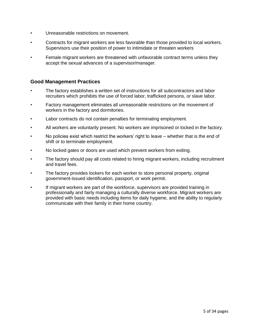- Unreasonable restrictions on movement.
- Contracts for migrant workers are less favorable than those provided to local workers. Supervisors use their position of power to intimidate or threaten workers
- Female migrant workers are threatened with unfavorable contract terms unless they accept the sexual advances of a supervisor/manager.

- The factory establishes a written set of instructions for all subcontractors and labor recruiters which prohibits the use of forced labor, trafficked persons, or slave labor.
- Factory management eliminates all unreasonable restrictions on the movement of workers in the factory and dormitories.
- Labor contracts do not contain penalties for terminating employment.
- All workers are voluntarily present. No workers are imprisoned or locked in the factory.
- No policies exist which restrict the workers' right to leave whether that is the end of shift or to terminate employment.
- No locked gates or doors are used which prevent workers from exiting.
- The factory should pay all costs related to hiring migrant workers, including recruitment and travel fees.
- The factory provides lockers for each worker to store personal property, original government-issued identification, passport, or work permit.
- If migrant workers are part of the workforce, supervisors are provided training in professionally and fairly managing a culturally diverse workforce. Migrant workers are provided with basic needs including items for daily hygiene, and the ability to regularly communicate with their family in their home country.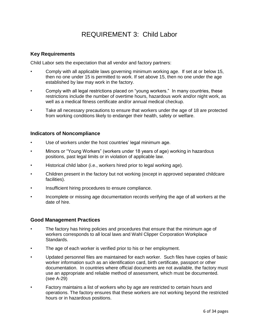## REQUIREMENT 3: Child Labor

#### **Key Requirements**

Child Labor sets the expectation that all vendor and factory partners:

- Comply with all applicable laws governing minimum working age. If set at or below 15, then no one under 15 is permitted to work. If set above 15, then no one under the age established by law may work in the factory.
- Comply with all legal restrictions placed on "young workers." In many countries, these restrictions include the number of overtime hours, hazardous work and/or night work, as well as a medical fitness certificate and/or annual medical checkup.
- Take all necessary precautions to ensure that workers under the age of 18 are protected from working conditions likely to endanger their health, safety or welfare.

#### **Indicators of Noncompliance**

- Use of workers under the host countries' legal minimum age.
- Minors or "Young Workers" (workers under 18 years of age) working in hazardous positions, past legal limits or in violation of applicable law.
- Historical child labor (i.e., workers hired prior to legal working age).
- Children present in the factory but not working (except in approved separated childcare facilities).
- Insufficient hiring procedures to ensure compliance.
- Incomplete or missing age documentation records verifying the age of all workers at the date of hire.

- The factory has hiring policies and procedures that ensure that the minimum age of workers corresponds to all local laws and Wahl Clipper Corporation Workplace Standards.
- The age of each worker is verified prior to his or her employment.
- Updated personnel files are maintained for each worker. Such files have copies of basic worker information such as an identification card, birth certificate, passport or other documentation. In countries where official documents are not available, the factory must use an appropriate and reliable method of assessment, which must be documented. (see A-29)
- Factory maintains a list of workers who by age are restricted to certain hours and operations. The factory ensures that these workers are not working beyond the restricted hours or in hazardous positions.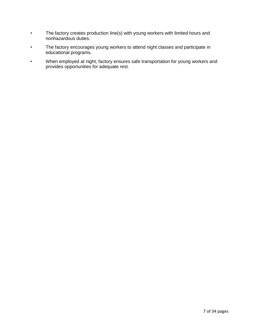- The factory creates production line(s) with young workers with limited hours and nonhazardous duties.
- The factory encourages young workers to attend night classes and participate in educational programs.
- When employed at night, factory ensures safe transportation for young workers and provides opportunities for adequate rest.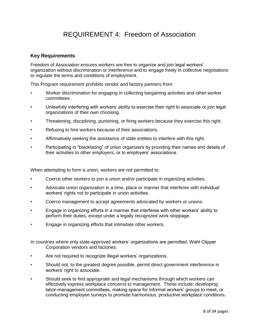## REQUIREMENT 4: Freedom of Association

#### **Key Requirements**

Freedom of Association ensures workers are free to organize and join legal workers' organization without discrimination or interference and to engage freely in collective negotiations to regulate the terms and conditions of employment.

This Program requirement prohibits vendor and factory partners from:

- Worker discrimination for engaging in collecting bargaining activities and other worker committees.
- Unlawfully interfering with workers' ability to exercise their right to associate or join legal organizations of their own choosing.
- Threatening, disciplining, punishing, or firing workers because they exercise this right.
- Refusing to hire workers because of their associations.
- Affirmatively seeking the assistance of state entities to interfere with this right.
- Participating in "blacklisting" of union organizers by providing their names and details of their activities to other employers, or to employers' associations.

When attempting to form a union, workers are not permitted to:

- Coerce other workers to join a union and/or participate in organizing activities.
- Advocate union organization in a time, place or manner that interferes with individual workers' rights not to participate in union activities.
- Coerce management to accept agreements advocated by workers or unions.
- Engage in organizing efforts in a manner that interferes with other workers' ability to perform their duties, except under a legally recognized work stoppage.
- Engage in organizing efforts that intimidate other workers.

In countries where only state-approved workers' organizations are permitted, Wahl Clipper Corporation vendors and factories:

- Are not required to recognize illegal workers' organizations.
- Should not, to the greatest degree possible, permit direct government interference in workers' right to associate.
- Should seek to find appropriate and legal mechanisms through which workers can effectively express workplace concerns to management. These include: developing labor-management committees, making space for informal workers' groups to meet, or conducting employee surveys to promote harmonious, productive workplace conditions.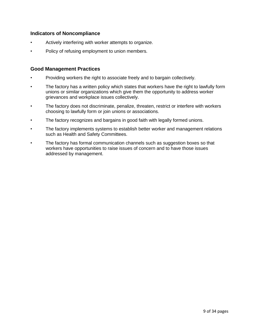#### **Indicators of Noncompliance**

- Actively interfering with worker attempts to organize.
- Policy of refusing employment to union members.

- Providing workers the right to associate freely and to bargain collectively.
- The factory has a written policy which states that workers have the right to lawfully form unions or similar organizations which give them the opportunity to address worker grievances and workplace issues collectively.
- The factory does not discriminate, penalize, threaten, restrict or interfere with workers choosing to lawfully form or join unions or associations.
- The factory recognizes and bargains in good faith with legally formed unions.
- The factory implements systems to establish better worker and management relations such as Health and Safety Committees.
- The factory has formal communication channels such as suggestion boxes so that workers have opportunities to raise issues of concern and to have those issues addressed by management.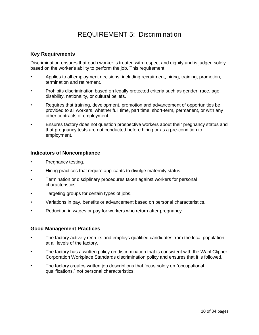## REQUIREMENT 5: Discrimination

#### **Key Requirements**

Discrimination ensures that each worker is treated with respect and dignity and is judged solely based on the worker's ability to perform the job. This requirement:

- Applies to all employment decisions, including recruitment, hiring, training, promotion, termination and retirement.
- Prohibits discrimination based on legally protected criteria such as gender, race, age, disability, nationality, or cultural beliefs.
- Requires that training, development, promotion and advancement of opportunities be provided to all workers, whether full time, part time, short-term, permanent, or with any other contracts of employment.
- Ensures factory does not question prospective workers about their pregnancy status and that pregnancy tests are not conducted before hiring or as a pre-condition to employment.

#### **Indicators of Noncompliance**

- Pregnancy testing.
- Hiring practices that require applicants to divulge maternity status.
- Termination or disciplinary procedures taken against workers for personal characteristics.
- Targeting groups for certain types of jobs.
- Variations in pay, benefits or advancement based on personal characteristics.
- Reduction in wages or pay for workers who return after pregnancy.

- The factory actively recruits and employs qualified candidates from the local population at all levels of the factory.
- The factory has a written policy on discrimination that is consistent with the Wahl Clipper Corporation Workplace Standards discrimination policy and ensures that it is followed.
- The factory creates written job descriptions that focus solely on "occupational qualifications," not personal characteristics.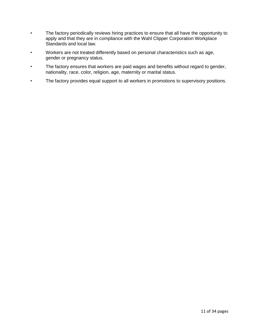- The factory periodically reviews hiring practices to ensure that all have the opportunity to apply and that they are in compliance with the Wahl Clipper Corporation Workplace Standards and local law.
- Workers are not treated differently based on personal characteristics such as age, gender or pregnancy status.
- The factory ensures that workers are paid wages and benefits without regard to gender, nationality, race, color, religion, age, maternity or marital status.
- The factory provides equal support to all workers in promotions to supervisory positions.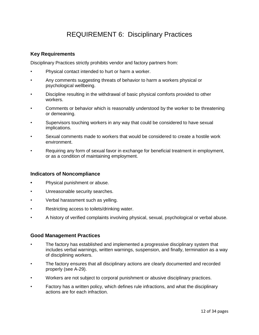## REQUIREMENT 6: Disciplinary Practices

#### **Key Requirements**

Disciplinary Practices strictly prohibits vendor and factory partners from:

- Physical contact intended to hurt or harm a worker.
- Any comments suggesting threats of behavior to harm a workers physical or psychological wellbeing.
- Discipline resulting in the withdrawal of basic physical comforts provided to other workers.
- Comments or behavior which is reasonably understood by the worker to be threatening or demeaning.
- Supervisors touching workers in any way that could be considered to have sexual implications.
- Sexual comments made to workers that would be considered to create a hostile work environment.
- Requiring any form of sexual favor in exchange for beneficial treatment in employment, or as a condition of maintaining employment.

#### **Indicators of Noncompliance**

- **•** Physical punishment or abuse.
- Unreasonable security searches.
- Verbal harassment such as yelling.
- Restricting access to toilets/drinking water.
- A history of verified complaints involving physical, sexual, psychological or verbal abuse.

- The factory has established and implemented a progressive disciplinary system that includes verbal warnings, written warnings, suspension, and finally, termination as a way of disciplining workers.
- The factory ensures that all disciplinary actions are clearly documented and recorded properly (see A-29).
- Workers are not subject to corporal punishment or abusive disciplinary practices.
- Factory has a written policy, which defines rule infractions, and what the disciplinary actions are for each infraction.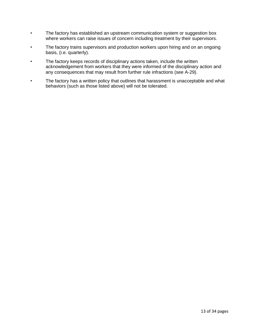- The factory has established an upstream communication system or suggestion box where workers can raise issues of concern including treatment by their supervisors.
- The factory trains supervisors and production workers upon hiring and on an ongoing basis, (i.e. quarterly).
- The factory keeps records of disciplinary actions taken, include the written acknowledgement from workers that they were informed of the disciplinary action and any consequences that may result from further rule infractions (see A-29).
- The factory has a written policy that outlines that harassment is unacceptable and what behaviors (such as those listed above) will not be tolerated.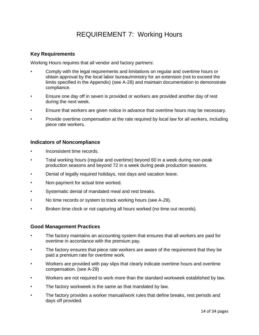## REQUIREMENT 7: Working Hours

#### **Key Requirements**

Working Hours requires that all vendor and factory partners:

- Comply with the legal requirements and limitations on regular and overtime hours or obtain approval by the local labor bureau/ministry for an extension (not to exceed the limits specified in the Appendix) (see A-28) and maintain documentation to demonstrate compliance.
- Ensure one day off in seven is provided or workers are provided another day of rest during the next week.
- Ensure that workers are given notice in advance that overtime hours may be necessary.
- Provide overtime compensation at the rate required by local law for all workers, including piece rate workers.

#### **Indicators of Noncompliance**

- Inconsistent time records.
- Total working hours (regular and overtime) beyond 60 in a week during non-peak production seasons and beyond 72 in a week during peak production seasons.
- Denial of legally required holidays, rest days and vacation leave.
- Non-payment for actual time worked.
- Systematic denial of mandated meal and rest breaks.
- No time records or system to track working hours (see A-29).
- Broken time clock or not capturing all hours worked (no time out records).

- The factory maintains an accounting system that ensures that all workers are paid for overtime in accordance with the premium pay.
- The factory ensures that piece rate workers are aware of the requirement that they be paid a premium rate for overtime work.
- Workers are provided with pay slips that clearly indicate overtime hours and overtime compensation. (see A-29)
- Workers are not required to work more than the standard workweek established by law.
- The factory workweek is the same as that mandated by law.
- The factory provides a worker manual/work rules that define breaks, rest periods and days off provided.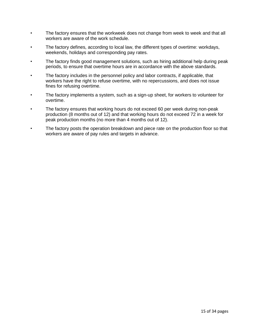- The factory ensures that the workweek does not change from week to week and that all workers are aware of the work schedule.
- The factory defines, according to local law, the different types of overtime: workdays, weekends, holidays and corresponding pay rates.
- The factory finds good management solutions, such as hiring additional help during peak periods, to ensure that overtime hours are in accordance with the above standards.
- The factory includes in the personnel policy and labor contracts, if applicable, that workers have the right to refuse overtime, with no repercussions, and does not issue fines for refusing overtime.
- The factory implements a system, such as a sign-up sheet, for workers to volunteer for overtime.
- The factory ensures that working hours do not exceed 60 per week during non-peak production (8 months out of 12) and that working hours do not exceed 72 in a week for peak production months (no more than 4 months out of 12).
- The factory posts the operation breakdown and piece rate on the production floor so that workers are aware of pay rules and targets in advance.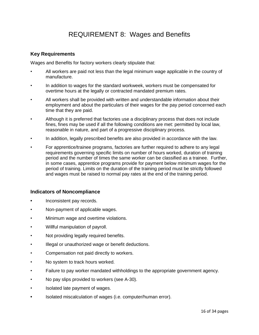## REQUIREMENT 8: Wages and Benefits

#### **Key Requirements**

Wages and Benefits for factory workers clearly stipulate that:

- All workers are paid not less than the legal minimum wage applicable in the country of manufacture.
- In addition to wages for the standard workweek, workers must be compensated for overtime hours at the legally or contracted mandated premium rates.
- All workers shall be provided with written and understandable information about their employment and about the particulars of their wages for the pay period concerned each time that they are paid.
- Although it is preferred that factories use a disciplinary process that does not include fines, fines may be used if all the following conditions are met: permitted by local law, reasonable in nature, and part of a progressive disciplinary process.
- In addition, legally prescribed benefits are also provided in accordance with the law.
- For apprentice/trainee programs, factories are further required to adhere to any legal requirements governing specific limits on number of hours worked, duration of training period and the number of times the same worker can be classified as a trainee. Further, in some cases, apprentice programs provide for payment below minimum wages for the period of training. Limits on the duration of the training period must be strictly followed and wages must be raised to normal pay rates at the end of the training period.

#### **Indicators of Noncompliance**

- **•** Inconsistent pay records.
- Non-payment of applicable wages.
- Minimum wage and overtime violations.
- Willful manipulation of payroll.
- Not providing legally required benefits.
- Illegal or unauthorized wage or benefit deductions.
- Compensation not paid directly to workers.
- No system to track hours worked.
- Failure to pay worker mandated withholdings to the appropriate government agency.
- No pay slips provided to workers (see A-30).
- Isolated late payment of wages.
- **•** Isolated miscalculation of wages (i.e. computer/human error).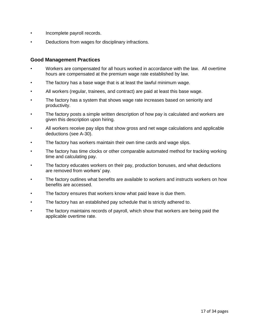- Incomplete payroll records.
- Deductions from wages for disciplinary infractions.

- Workers are compensated for all hours worked in accordance with the law. All overtime hours are compensated at the premium wage rate established by law.
- The factory has a base wage that is at least the lawful minimum wage.
- All workers (regular, trainees, and contract) are paid at least this base wage.
- The factory has a system that shows wage rate increases based on seniority and productivity.
- The factory posts a simple written description of how pay is calculated and workers are given this description upon hiring.
- All workers receive pay slips that show gross and net wage calculations and applicable deductions (see A-30).
- The factory has workers maintain their own time cards and wage slips.
- The factory has time clocks or other comparable automated method for tracking working time and calculating pay.
- The factory educates workers on their pay, production bonuses, and what deductions are removed from workers' pay.
- The factory outlines what benefits are available to workers and instructs workers on how benefits are accessed.
- The factory ensures that workers know what paid leave is due them.
- The factory has an established pay schedule that is strictly adhered to.
- The factory maintains records of payroll, which show that workers are being paid the applicable overtime rate.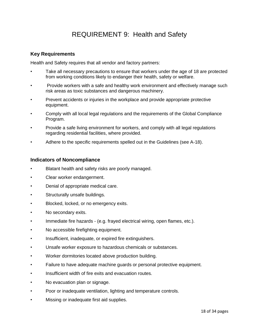## REQUIREMENT 9: Health and Safety

#### **Key Requirements**

Health and Safety requires that all vendor and factory partners:

- Take all necessary precautions to ensure that workers under the age of 18 are protected from working conditions likely to endanger their health, safety or welfare.
- Provide workers with a safe and healthy work environment and effectively manage such risk areas as toxic substances and dangerous machinery.
- Prevent accidents or injuries in the workplace and provide appropriate protective equipment.
- Comply with all local legal regulations and the requirements of the Global Compliance Program.
- Provide a safe living environment for workers, and comply with all legal regulations regarding residential facilities, where provided.
- Adhere to the specific requirements spelled out in the Guidelines (see A-18).

#### **Indicators of Noncompliance**

- Blatant health and safety risks are poorly managed.
- Clear worker endangerment.
- Denial of appropriate medical care.
- Structurally unsafe buildings.
- Blocked, locked, or no emergency exits.
- No secondary exits.
- Immediate fire hazards (e.g. frayed electrical wiring, open flames, etc.).
- No accessible firefighting equipment.
- Insufficient, inadequate, or expired fire extinguishers.
- Unsafe worker exposure to hazardous chemicals or substances.
- Worker dormitories located above production building.
- Failure to have adequate machine guards or personal protective equipment.
- Insufficient width of fire exits and evacuation routes.
- No evacuation plan or signage.
- Poor or inadequate ventilation, lighting and temperature controls.
- Missing or inadequate first aid supplies.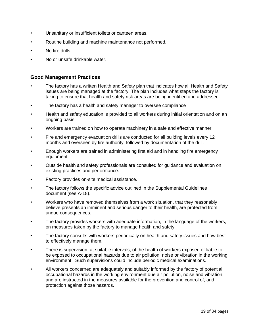- Unsanitary or insufficient toilets or canteen areas.
- Routine building and machine maintenance not performed.
- No fire drills.
- No or unsafe drinkable water.

- The factory has a written Health and Safety plan that indicates how all Health and Safety issues are being managed at the factory. The plan includes what steps the factory is taking to ensure that health and safety risk areas are being identified and addressed.
- The factory has a health and safety manager to oversee compliance
- Health and safety education is provided to all workers during initial orientation and on an ongoing basis.
- Workers are trained on how to operate machinery in a safe and effective manner.
- Fire and emergency evacuation drills are conducted for all building levels every 12 months and overseen by fire authority, followed by documentation of the drill.
- Enough workers are trained in administering first aid and in handling fire emergency equipment.
- Outside health and safety professionals are consulted for guidance and evaluation on existing practices and performance.
- Factory provides on-site medical assistance.
- The factory follows the specific advice outlined in the Supplemental Guidelines document (see A-18).
- Workers who have removed themselves from a work situation, that they reasonably believe presents an imminent and serious danger to their health, are protected from undue consequences.
- The factory provides workers with adequate information, in the language of the workers, on measures taken by the factory to manage health and safety.
- The factory consults with workers periodically on health and safety issues and how best to effectively manage them.
- There is supervision, at suitable intervals, of the health of workers exposed or liable to be exposed to occupational hazards due to air pollution, noise or vibration in the working environment. Such supervisions could include periodic medical examinations.
- All workers concerned are adequately and suitably informed by the factory of potential occupational hazards in the working environment due air pollution, noise and vibration, and are instructed in the measures available for the prevention and control of, and protection against those hazards.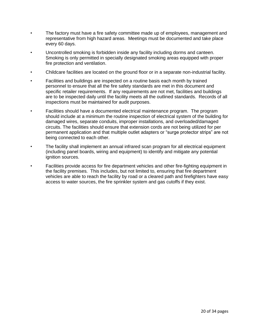- The factory must have a fire safety committee made up of employees, management and representative from high hazard areas. Meetings must be documented and take place every 60 days.
- Uncontrolled smoking is forbidden inside any facility including dorms and canteen. Smoking is only permitted in specially designated smoking areas equipped with proper fire protection and ventilation.
- Childcare facilities are located on the ground floor or in a separate non-industrial facility.
- Facilities and buildings are inspected on a routine basis each month by trained personnel to ensure that all the fire safety standards are met in this document and specific retailer requirements. If any requirements are not met, facilities and buildings are to be inspected daily until the facility meets all the outlined standards. Records of all inspections must be maintained for audit purposes.
- Facilities should have a documented electrical maintenance program. The program should include at a minimum the routine inspection of electrical system of the building for damaged wires, separate conduits, improper installations, and overloaded/damaged circuits. The facilities should ensure that extension cords are not being utilized for per permanent application and that multiple outlet adapters or "surge protector strips" are not being connected to each other.
- The facility shall implement an annual infrared scan program for all electrical equipment (including panel boards, wiring and equipment) to identify and mitigate any potential ignition sources.
- Facilities provide access for fire department vehicles and other fire-fighting equipment in the facility premises. This includes, but not limited to, ensuring that fire department vehicles are able to reach the facility by road or a cleared path and firefighters have easy access to water sources, the fire sprinkler system and gas cutoffs if they exist.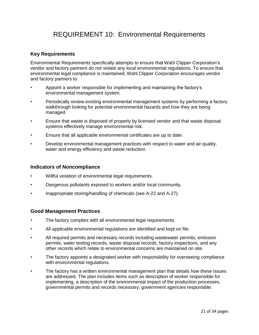## REQUIREMENT 10: Environmental Requirements

#### **Key Requirements**

Environmental Requirements specifically attempts to ensure that Wahl Clipper Corporation's vendor and factory partners do not violate any local environmental regulations. To ensure that environmental legal compliance is maintained, Wahl Clipper Corporation encourages vendor and factory partners to:

- Appoint a worker responsible for implementing and maintaining the factory's environmental management system.
- Periodically review existing environmental management systems by performing a factory walkthrough looking for potential environmental hazards and how they are being managed.
- Ensure that waste is disposed of properly by licensed vendor and that waste disposal systems effectively manage environmental risk.
- Ensure that all applicable environmental certificates are up to date.
- Develop environmental management practices with respect to water and air quality, water and energy efficiency and waste reduction.

#### **Indicators of Noncompliance**

- Willful violation of environmental legal requirements.
- Dangerous pollutants exposed to workers and/or local community.
- Inappropriate storing/handling of chemicals (see A-22 and A-27).

- The factory complies with all environmental legal requirements.
- All applicable environmental regulations are identified and kept on file.
- All required permits and necessary records including wastewater permits, emission permits, water testing records, waste disposal records, factory inspections, and any other records which relate to environmental concerns are maintained on site.
- The factory appoints a designated worker with responsibility for overseeing compliance with environmental regulations.
- The factory has a written environmental management plan that details how these issues are addressed. The plan includes items such as description of worker responsible for implementing, a description of the environmental impact of the production processes, governmental permits and records necessary, government agencies responsible.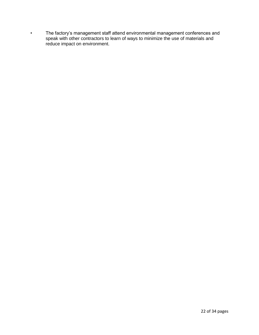• The factory's management staff attend environmental management conferences and speak with other contractors to learn of ways to minimize the use of materials and reduce impact on environment.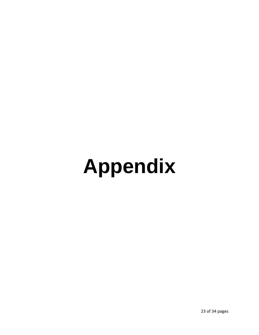# **Appendix**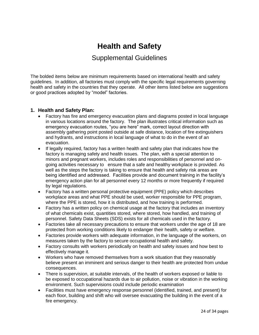## **Health and Safety**

#### Supplemental Guidelines

The bolded items below are minimum requirements based on international health and safety guidelines. In addition, all factories must comply with the specific legal requirements governing health and safety in the countries that they operate. All other items listed below are suggestions or good practices adopted by "model" factories.

#### **1. Health and Safety Plan:**

- Factory has fire and emergency evacuation plans and diagrams posted in local language in various locations around the factory. The plan illustrates critical information such as emergency evacuation routes, "you are here" mark, correct layout direction with assembly gathering point posted outside at safe distance, location of fire extinguishers and hydrants, and instructions in local language of what to do in the event of an evacuation.
- If legally required, factory has a written health and safety plan that indicates how the factory is managing safety and health issues. The plan, with a special attention to minors and pregnant workers, includes roles and responsibilities of personnel and ongoing activities necessary to ensure that a safe and healthy workplace is provided. As well as the steps the factory is taking to ensure that health and safety risk areas are being identified and addressed. Facilities provide and document training in the facility's emergency action plan for all personnel every 12 months or more frequently if required by legal regulations.
- Factory has a written personal protective equipment (PPE) policy which describes workplace areas and what PPE should be used, worker responsible for PPE program, where the PPE is stored, how it is distributed, and how training is performed.
- Factory has a written policy on chemical usage at the factory that includes an inventory of what chemicals exist, quantities stored, where stored, how handled, and training of personnel. Safety Data Sheets (SDS) exists for all chemicals used in the factory.
- Factories take all necessary precautions to ensure that workers under the age of 18 are protected from working conditions likely to endanger their health, safety or welfare.
- Factories provide workers with adequate information, in the language of the workers, on measures taken by the factory to secure occupational health and safety.
- Factory consults with workers periodically on health and safety issues and how best to effectively manage it.
- Workers who have removed themselves from a work situation that they reasonably believe present an imminent and serious danger to their health are protected from undue consequences.
- There is supervision, at suitable intervals, of the health of workers exposed or liable to be exposed to occupational hazards due to air pollution, noise or vibration in the working environment. Such supervisions could include periodic examination
- Facilities must have emergency response personnel (identified, trained, and present) for each floor, building and shift who will oversee evacuating the building in the event of a fire emergency.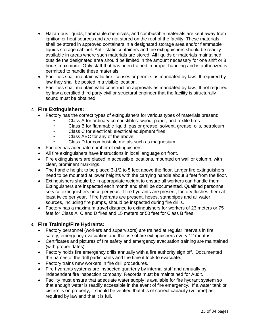- Hazardous liquids, flammable chemicals, and combustible materials are kept away from ignition or heat sources and are not stored on the roof of the facility. These materials shall be stored in approved containers in a designated storage area and/or flammable liquids storage cabinet. Anti- static containers and fire extinguishers should be readily available in areas where such materials are stored. All liquids or materials maintained outside the designated area should be limited in the amount necessary for one shift or 8 hours maximum. Only staff that has been trained in proper handling and is authorized is permitted to handle these materials.
- Facilities shall maintain valid fire licenses or permits as mandated by law. If required by law they shall be posted in a visible location.
- Facilities shall maintain valid construction approvals as mandated by law. If not required by law a certified third party civil or structural engineer that the facility is structurally sound must be obtained.

#### 2. **Fire Extinguishers:**

- Factory has the correct types of extinguishers for various types of materials present:
	- Class A for ordinary combustibles: wood, paper, and textile fires
	- Class B for flammable liquid, gas or grease: solvent, grease, oils, petroleum
	- Class C for electrical: electrical equipment fires
	- Class ABC for any of the above
	- Class D for combustible metals such as magnesium
- Factory has adequate number of extinguishers.
- All fire extinguishers have instructions in local language on front.
- Fire extinguishers are placed in accessible locations, mounted on wall or column, with clear, prominent markings.
- The handle height to be placed 3-1/2 to 5 feet above the floor. Larger fire extinguishers need to be mounted at lower heights with the carrying handle about 3 feet from the floor.
- Extinguishers should be in appropriate weight to ensure all workers can handle them. Extinguishers are inspected each month and shall be documented. Qualified personnel service extinguishers once per year. If fire hydrants are present, factory flushes them at least twice per year. If fire hydrants are present, hoses, standpipes and all water sources, including fire pumps, should be inspected during fire drills.
- Factory has a maximum travel distance to extinguishers for workers of 23 meters or 75 feet for Class A, C and D fires and 15 meters or 50 feet for Class B fires.

#### 3. **Fire Training/Fire Hydrants:**

- Factory personnel (workers and supervisors) are trained at regular intervals in fire safety, emergency evacuation and the use of fire extinguishers every 12 months.
- Certificates and pictures of fire safety and emergency evacuation training are maintained (with proper dates).
- Factory holds fire emergency drills annually with a fire authority sign off. Documented the names of the drill participants and the time it took to evacuate.
- Factory trains new workers in fire drill procedures.
- Fire hydrants systems are inspected quarterly by internal staff and annually by independent fire inspection company. Records must be maintained for Audit.
- Facility must ensure that adequate water supply is available for fire hydrant system so that enough water is readily accessible in the event of fire emergency. If a water tank or cistern is on property, it should be verified that it is of correct capacity (volume) as required by law and that it is full.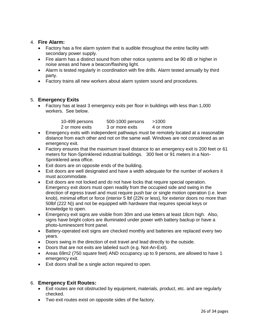#### 4. **Fire Alarm:**

- Factory has a fire alarm system that is audible throughout the entire facility with secondary power supply.
- Fire alarm has a distinct sound from other notice systems and be 90 dB or higher in noise areas and have a beacon/flashing light.
- Alarm is tested regularly in coordination with fire drills. Alarm tested annually by third party.
- Factory trains all new workers about alarm system sound and procedures.

#### 5. **Emergency Exits**

• Factory has at least 3 emergency exits per floor in buildings with less than 1,000 workers. See below.

|                                                 | >1000 |
|-------------------------------------------------|-------|
| 2 or more exits<br>3 or more exits<br>4 or more |       |

- Emergency exits with independent pathways must be remotely located at a reasonable distance from each other and not on the same wall. Windows are not considered as an emergency exit.
- Factory ensures that the maximum travel distance to an emergency exit is 200 feet or 61 meters for Non-Sprinklered industrial buildings. 300 feet or 91 meters in a Non-Sprinklered area office.
- Exit doors are on opposite ends of the building.
- Exit doors are well designated and have a width adequate for the number of workers it must accommodate.
- Exit doors are not locked and do not have locks that require special operation. Emergency exit doors must open readily from the occupied side and swing in the direction of egress travel and must require push bar or single motion operation (i.e. lever knob), minimal effort or force (interior 5 lbf (22N or less), for exterior doors no more than 50lbf (222 N)) and not be equipped with hardware that requires special keys or knowledge to open.
- Emergency exit signs are visible from 30m and use letters at least 18cm high. Also, signs have bright colors are illuminated under power with battery backup or have a photo-luminescent front panel.
- Battery-operated exit signs are checked monthly and batteries are replaced every two years.
- Doors swing in the direction of exit travel and lead directly to the outside.
- Doors that are not exits are labeled such (e.g. Not-An-Exit).
- Areas 69m2 (750 square feet) AND occupancy up to 9 persons, are allowed to have 1 emergency exit.
- Exit doors shall be a single action required to open.

#### 6. **Emergency Exit Routes:**

- Exit routes are not obstructed by equipment, materials, product, etc. and are regularly checked.
- Two exit routes exist on opposite sides of the factory.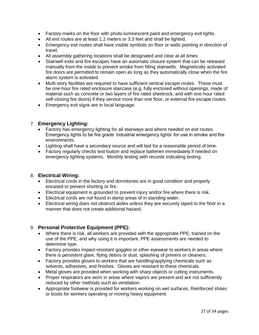- Factory marks on the floor with photo-luminescent paint and emergency exit lights.
- All exit routes are at least 1.2 meters or 3.3 feet and shall be lighted.
- Emergency exit routes shall have visible symbols on floor or walls pointing in direction of travel.
- All assembly gathering locations shall be designated and clear at all times.
- Stairwell exits and fire escapes have an automatic closure system that can be released manually from the inside to prevent smoke from filling stairwells. Magnetically activated fire doors are permitted to remain open as long as they automatically close when the fire alarm system is activated.
- Multi-story facilities are required to have sufficient vertical escape routes. These must be one-hour fire rated enclosure staircase (e.g. fully enclosed without openings, made of material such as concrete or two layers of fire rated sheetrock, and with one-hour rated self-closing fire doors) if they service more than one floor, or external fire escape routes.
- Emergency exit signs are in local language.

#### 7. **Emergency Lighting:**

- Factory has emergency lighting for all stairways and where needed on exit routes. Emergency lights to be fire grade 'industrial emergency lights' for use in smoke and fire environments.
- Lighting shall have a secondary source and will last for a reasonable period of time.
- Factory regularly checks test-button and replace batteries immediately if needed on emergency lighting systems. Monthly testing with records indicating testing.

#### 8. **Electrical Wiring:**

- Electrical cords in the factory and dormitories are in good condition and properly encased to prevent shorting or fire.
- Electrical equipment is grounded to prevent injury and/or fire where there is risk.
- Electrical cords are not found in damp areas of in standing water.
- Electrical wiring does not obstruct aisles unless they are securely taped to the floor in a manner that does not create additional hazard.

#### 9. **Personal Protective Equipment (PPE):**

- Where there is risk, all workers are provided with the appropriate PPE, trained on the use of the PPE, and why using it is important. PPE assessments are needed to determine type.
- Factory provides impact-resistant goggles or other eyewear to workers in areas where there is persistent glare, flying debris or dust, splashing of primers or cleaners.
- Factory provides gloves to workers that are handling/applying chemicals such as solvents, adhesives, and finishes. Gloves are resistant to these chemicals.
- Metal gloves are provided when working with sharp objects or cutting instruments.
- Proper respirators are worn in areas where vapors are present and are not sufficiently reduced by other methods such as ventilation.
- Appropriate footwear is provided for workers working on wet surfaces. Reinforced shoes or boots for workers operating or moving heavy equipment.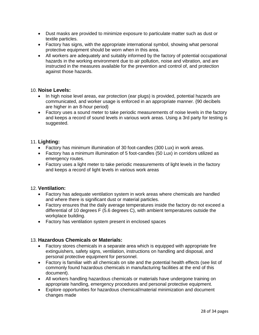- Dust masks are provided to minimize exposure to particulate matter such as dust or textile particles.
- Factory has signs, with the appropriate international symbol, showing what personal protective equipment should be worn when in this area.
- All workers are adequately and suitably informed by the factory of potential occupational hazards in the working environment due to air pollution, noise and vibration, and are instructed in the measures available for the prevention and control of, and protection against those hazards.

#### 10. **Noise Levels:**

- In high noise level areas, ear protection (ear plugs) is provided, potential hazards are communicated, and worker usage is enforced in an appropriate manner. {90 decibels are higher in an 8-hour period}
- Factory uses a sound meter to take periodic measurements of noise levels in the factory and keeps a record of sound levels in various work areas. Using a 3rd party for testing is suggested.

#### 11. **Lighting:**

- Factory has minimum illumination of 30 foot-candles (300 Lux) in work areas.
- Factory has a minimum illumination of 5 foot-candles (50 Lux) in corridors utilized as emergency routes.
- Factory uses a light meter to take periodic measurements of light levels in the factory and keeps a record of light levels in various work areas

#### 12. **Ventilation:**

- Factory has adequate ventilation system in work areas where chemicals are handled and where there is significant dust or material particles.
- Factory ensures that the daily average temperatures inside the factory do not exceed a differential of 10 degrees F (5.6 degrees C), with ambient temperatures outside the workplace building.
- Factory has ventilation system present in enclosed spaces

#### 13. **Hazardous Chemicals or Materials:**

- Factory stores chemicals in a separate area which is equipped with appropriate fire extinguishers, safety signs, ventilation, instructions on handling and disposal, and personal protective equipment for personnel.
- Factory is familiar with all chemicals on site and the potential health effects (see list of commonly found hazardous chemicals in manufacturing facilities at the end of this document).
- All workers handling hazardous chemicals or materials have undergone training on appropriate handling, emergency procedures and personal protective equipment.
- Explore opportunities for hazardous chemical/material minimization and document changes made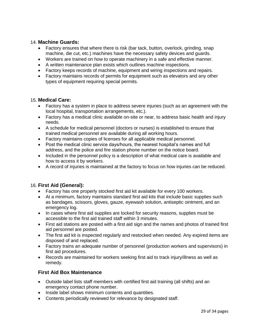#### 14. **Machine Guards:**

- Factory ensures that where there is risk (bar tack, button, overlock, grinding, snap machine, die cut, etc.) machines have the necessary safety devices and guards.
- Workers are trained on how to operate machinery in a safe and effective manner.
- A written maintenance plan exists which outlines machine inspections.
- Factory keeps records of machine, equipment and wiring inspections and repairs.
- Factory maintains records of permits for equipment such as elevators and any other types of equipment requiring special permits.

#### 15. **Medical Care:**

- Factory has a system in place to address severe injuries (such as an agreement with the local hospital, transportation arrangements, etc.).
- Factory has a medical clinic available on-site or near, to address basic health and injury needs.
- A schedule for medical personnel (doctors or nurses) is established to ensure that trained medical personnel are available during all working hours.
- Factory maintains copies of licenses for all applicable medical personnel.
- Post the medical clinic service days/hours, the nearest hospital's names and full address, and the police and fire station phone number on the notice board.
- Included in the personnel policy is a description of what medical care is available and how to access it by workers.
- A record of injuries is maintained at the factory to focus on how injuries can be reduced.

#### 16. **First Aid (General):**

- Factory has one properly stocked first aid kit available for every 100 workers.
- At a minimum, factory maintains standard first aid kits that include basic supplies such as bandages, scissors, gloves, gauze, eyewash solution, antiseptic ointment, and an emergency log.
- In cases where first aid supplies are locked for security reasons, supplies must be accessible to the first aid trained staff within 3 minutes.
- First aid stations are posted with a first aid sign and the names and photos of trained first aid personnel are posted.
- The first aid kit is inspected regularly and restocked when needed. Any expired items are disposed of and replaced.
- Factory trains an adequate number of personnel (production workers and supervisors) in first aid procedures.
- Records are maintained for workers seeking first aid to track injury/illness as well as remedy.

#### **First Aid Box Maintenance**

- Outside label lists staff members with certified first aid training (all shifts) and an emergency contact phone number.
- Inside label shows minimum contents and quantities.
- Contents periodically reviewed for relevance by designated staff.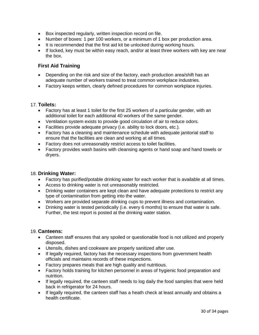- Box inspected regularly, written inspection record on file.
- Number of boxes: 1 per 100 workers, or a minimum of 1 box per production area.
- It is recommended that the first aid kit be unlocked during working hours.
- If locked, key must be within easy reach, and/or at least three workers with key are near the box.

#### **First Aid Training**

- Depending on the risk and size of the factory, each production area/shift has an adequate number of workers trained to treat common workplace industries.
- Factory keeps written, clearly defined procedures for common workplace injuries.

#### 17. **Toilets:**

- Factory has at least 1 toilet for the first 25 workers of a particular gender, with an additional toilet for each additional 40 workers of the same gender.
- Ventilation system exists to provide good circulation of air to reduce odors.
- Facilities provide adequate privacy (i.e. ability to lock doors, etc.).
- Factory has a cleaning and maintenance schedule with adequate janitorial staff to ensure that the facilities are clean and working at all times.
- Factory does not unreasonably restrict access to toilet facilities.
- Factory provides wash basins with cleansing agents or hand soap and hand towels or dryers.

#### 18. **Drinking Water:**

- Factory has purified/potable drinking water for each worker that is available at all times.
- Access to drinking water is not unreasonably restricted.
- Drinking water containers are kept clean and have adequate protections to restrict any type of contamination from getting into the water.
- Workers are provided separate drinking cups to prevent illness and contamination.
- Drinking water is tested periodically (i.e. every 6 months) to ensure that water is safe. Further, the test report is posted at the drinking water station.

#### 19. **Canteens:**

- Canteen staff ensures that any spoiled or questionable food is not utilized and properly disposed.
- Utensils, dishes and cookware are properly sanitized after use.
- If legally required, factory has the necessary inspections from government health officials and maintains records of these inspections.
- Factory prepares meals that are high quality and nutritious.
- Factory holds training for kitchen personnel in areas of hygienic food preparation and nutrition.
- If legally required, the canteen staff needs to log daily the food samples that were held back in refrigerator for 24 hours.
- If legally required, the canteen staff has a heath check at least annually and obtains a health certificate.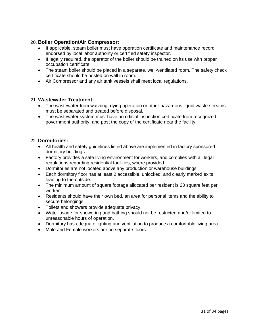#### 20. **Boiler Operation/Air Compressor:**

- If applicable, steam boiler must have operation certificate and maintenance record endorsed by local labor authority or certified safety inspector.
- If legally required, the operator of the boiler should be trained on its use with proper occupation certificate.
- The steam boiler should be placed in a separate, well-ventilated room. The safety check certificate should be posted on wall in room.
- Air Compressor and any air tank vessels shall meet local regulations.

#### 21. **Wastewater Treatment:**

- The wastewater from washing, dying operation or other hazardous liquid waste streams must be separated and treated before disposal.
- The wastewater system must have an official inspection certificate from recognized government authority, and post the copy of the certificate near the facility.

#### 22. **Dormitories:**

- All health and safety guidelines listed above are implemented in factory sponsored dormitory buildings.
- Factory provides a safe living environment for workers, and complies with all legal regulations regarding residential facilities, where provided.
- Dormitories are not located above any production or warehouse buildings.
- Each dormitory floor has at least 2 accessible, unlocked, and clearly marked exits leading to the outside.
- The minimum amount of square footage allocated per resident is 20 square feet per worker.
- Residents should have their own bed, an area for personal items and the ability to secure belongings.
- Toilets and showers provide adequate privacy.
- Water usage for showering and bathing should not be restricted and/or limited to unreasonable hours of operation.
- Dormitory has adequate lighting and ventilation to produce a comfortable living area.
- Male and Female workers are on separate floors.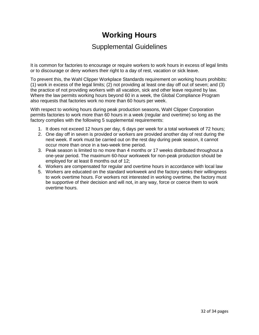## **Working Hours**

### Supplemental Guidelines

It is common for factories to encourage or require workers to work hours in excess of legal limits or to discourage or deny workers their right to a day of rest, vacation or sick leave.

To prevent this, the Wahl Clipper Workplace Standards requirement on working hours prohibits: (1) work in excess of the legal limits; (2) not providing at least one day off out of seven; and (3) the practice of not providing workers with all vacation, sick and other leave required by law. Where the law permits working hours beyond 60 in a week, the Global Compliance Program also requests that factories work no more than 60 hours per week.

With respect to working hours during peak production seasons, Wahl Clipper Corporation permits factories to work more than 60 hours in a week (regular and overtime) so long as the factory complies with the following 5 supplemental requirements:

- 1. It does not exceed 12 hours per day, 6 days per week for a total workweek of 72 hours;
- 2. One day off in seven is provided or workers are provided another day of rest during the next week. If work must be carried out on the rest day during peak season, it cannot occur more than once in a two-week time period.
- 3. Peak season is limited to no more than 4 months or 17 weeks distributed throughout a one-year period. The maximum 60-hour workweek for non-peak production should be employed for at least 8 months out of 12;
- 4. Workers are compensated for regular and overtime hours in accordance with local law
- 5. Workers are educated on the standard workweek and the factory seeks their willingness to work overtime hours. For workers not interested in working overtime, the factory must be supportive of their decision and will not, in any way, force or coerce them to work overtime hours.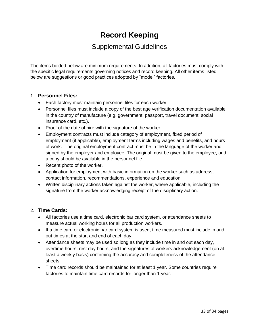## **Record Keeping**

## Supplemental Guidelines

The items bolded below are minimum requirements. In addition, all factories must comply with the specific legal requirements governing notices and record keeping. All other items listed below are suggestions or good practices adopted by "model" factories.

#### 1. **Personnel Files:**

- Each factory must maintain personnel files for each worker.
- Personnel files must include a copy of the best age verification documentation available in the country of manufacture (e.g. government, passport, travel document, social insurance card, etc.).
- Proof of the date of hire with the signature of the worker.
- Employment contracts must include category of employment, fixed period of employment (if applicable), employment terms including wages and benefits, and hours of work. The original employment contract must be in the language of the worker and signed by the employer and employee. The original must be given to the employee, and a copy should be available in the personnel file.
- Recent photo of the worker.
- Application for employment with basic information on the worker such as address, contact information, recommendations, experience and education.
- Written disciplinary actions taken against the worker, where applicable, including the signature from the worker acknowledging receipt of the disciplinary action.

#### 2. **Time Cards:**

- All factories use a time card, electronic bar card system, or attendance sheets to measure actual working hours for all production workers.
- If a time card or electronic bar card system is used, time measured must include in and out times at the start and end of each day.
- Attendance sheets may be used so long as they include time in and out each day, overtime hours, rest day hours, and the signatures of workers acknowledgement (on at least a weekly basis) confirming the accuracy and completeness of the attendance sheets.
- Time card records should be maintained for at least 1 year. Some countries require factories to maintain time card records for longer than 1 year.